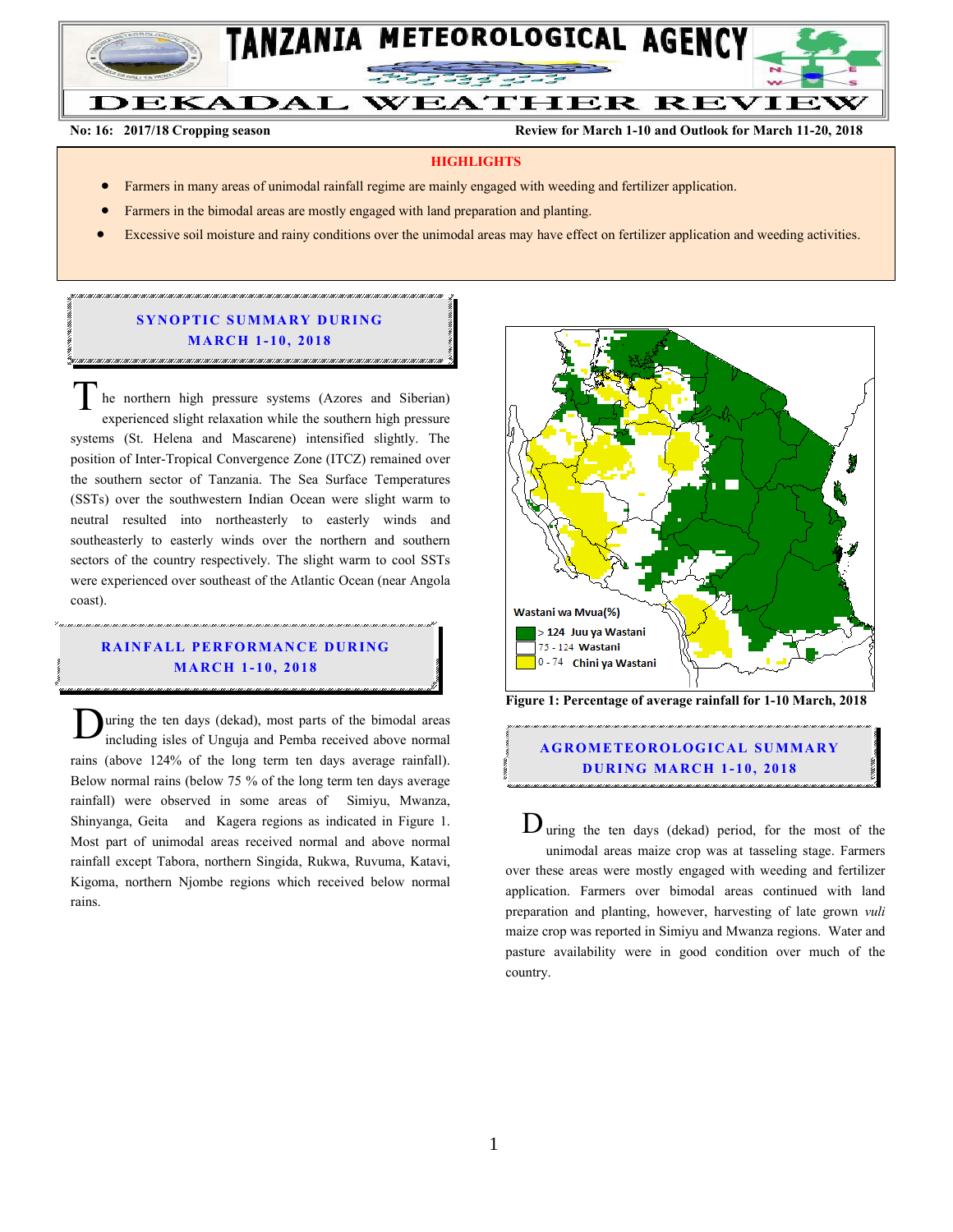

**No: 16: 2017/18 Cropping season Review for March 1-10 and Outlook for March 11-20, 2018**

#### **HIGHLIGHTS**

- Farmers in many areas of unimodal rainfall regime are mainly engaged with weeding and fertilizer application.
- Farmers in the bimodal areas are mostly engaged with land preparation and planting.
- Excessive soil moisture and rainy conditions over the unimodal areas may have effect on fertilizer application and weeding activities.

### **SYNOPTIC SUMMARY DURING MA RC H 1 - 10, 201 8**

he northern high pressure systems (Azores and Siberian) experienced slight relaxation while the southern high pressure systems (St. Helena and Mascarene) intensified slightly. The position of Inter-Tropical Convergence Zone (ITCZ) remained over the southern sector of Tanzania. The Sea Surface Temperatures (SSTs) over the southwestern Indian Ocean were slight warm to neutral resulted into northeasterly to easterly winds and southeasterly to easterly winds over the northern and southern sectors of the country respectively. The slight warm to cool SSTs were experienced over southeast of the Atlantic Ocean (near Angola coast). T

### **RAINFALL PERFORMANCE DURING MA RC H 1 - 10, 201 8**

uring the ten days (dekad), most parts of the bimodal areas including isles of Unguja and Pemba received above normal rains (above 124% of the long term ten days average rainfall). Below normal rains (below 75 % of the long term ten days average rainfall) were observed in some areas of Simiyu, Mwanza, Shinyanga, Geita and Kagera regions as indicated in Figure 1. Most part of unimodal areas received normal and above normal rainfall except Tabora, northern Singida, Rukwa, Ruvuma, Katavi, Kigoma, northern Njombe regions which received below normal rains. D



**Figure 1: Percentage of average rainfall for 1-10 March, 2018**

# **A G RO METEO R O LOG ICA L SU MMA RY D UR ING MA RC H 1 - 10, 2018**

 $D$  uring the ten days (dekad) period, for the most of the unimodal areas maize crop was at tasseling stage. Farmers over these areas were mostly engaged with weeding and fertilizer application. Farmers over bimodal areas continued with land preparation and planting, however, harvesting of late grown *vuli* maize crop was reported in Simiyu and Mwanza regions. Water and pasture availability were in good condition over much of the country.